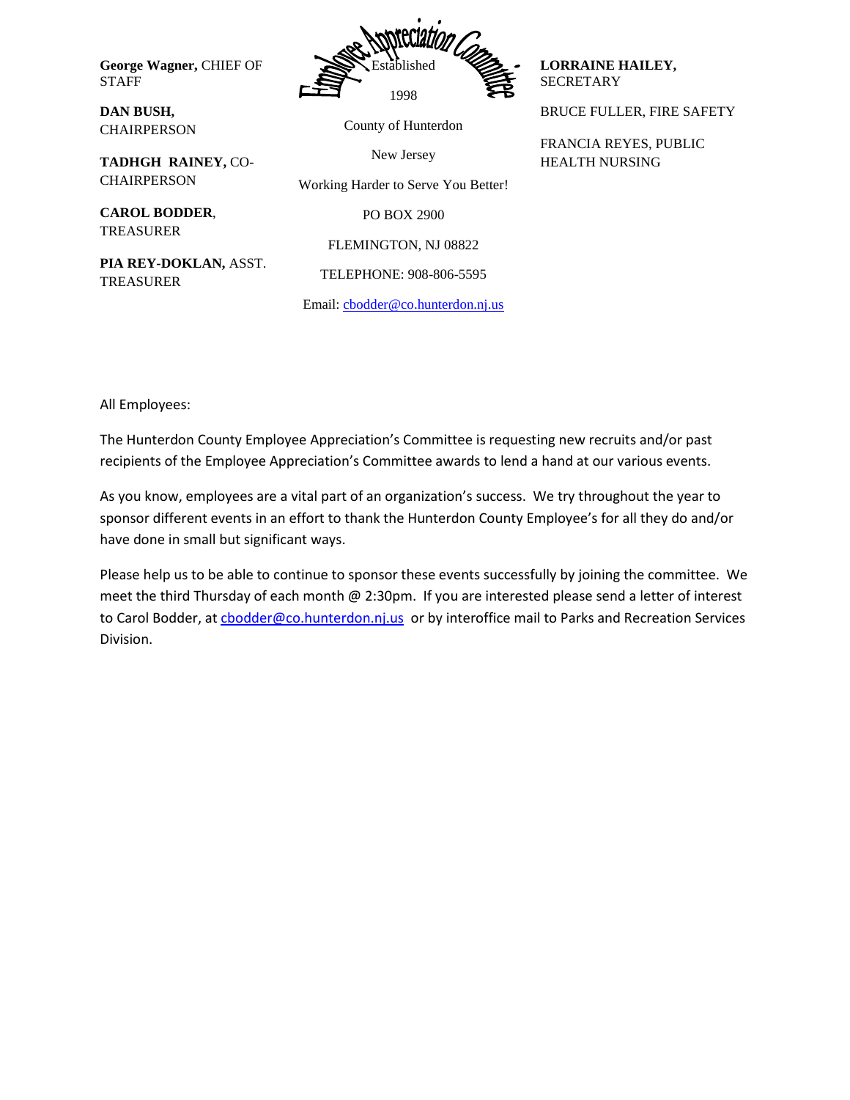**George Wagner,** CHIEF OF STAFF



County of Hunterdon

New Jersey

Working Harder to Serve You Better!

PO BOX 2900

FLEMINGTON, NJ 08822

TELEPHONE: 908-806-5595

**LORRAINE HAILEY,**  SECRETARY

BRUCE FULLER, FIRE SAFETY

FRANCIA REYES, PUBLIC HEALTH NURSING

**TADHGH RAINEY,** CO-**CHAIRPERSON** 

**CAROL BODDER**, TREASURER

**DAN BUSH, CHAIRPERSON** 

**PIA REY-DOKLAN,** ASST. TREASURER

Email: [cbodder@co.hunterdon.nj.us](mailto:cbodder@co.hunterdon.nj.us)

All Employees:

The Hunterdon County Employee Appreciation's Committee is requesting new recruits and/or past recipients of the Employee Appreciation's Committee awards to lend a hand at our various events.

As you know, employees are a vital part of an organization's success. We try throughout the year to sponsor different events in an effort to thank the Hunterdon County Employee's for all they do and/or have done in small but significant ways.

Please help us to be able to continue to sponsor these events successfully by joining the committee. We meet the third Thursday of each month @ 2:30pm. If you are interested please send a letter of interest to Carol Bodder, at chodder@co.hunterdon.nj.us or by interoffice mail to Parks and Recreation Services Division.